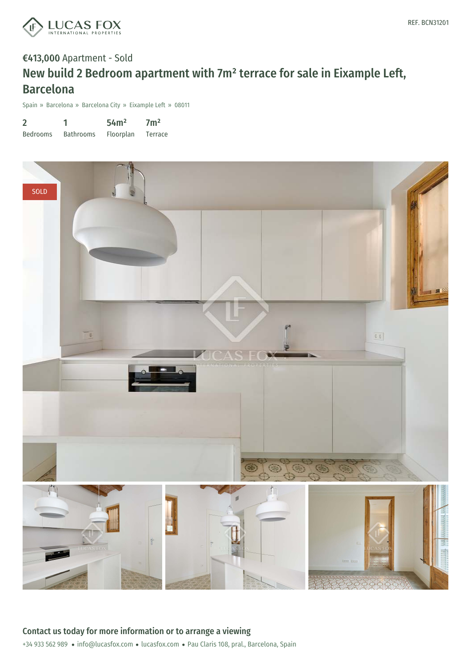

# €413,000 Apartment - Sold New build 2 Bedroom apartment with 7m² terrace for sale in Eixample Left, Barcelona

Spain » Barcelona » Barcelona City » Eixample Left » 08011

| $\overline{2}$  |                  | 54m <sup>2</sup> | 7 <sup>m²</sup> |
|-----------------|------------------|------------------|-----------------|
| <b>Bedrooms</b> | <b>Bathrooms</b> | Floorplan        | Terrace         |

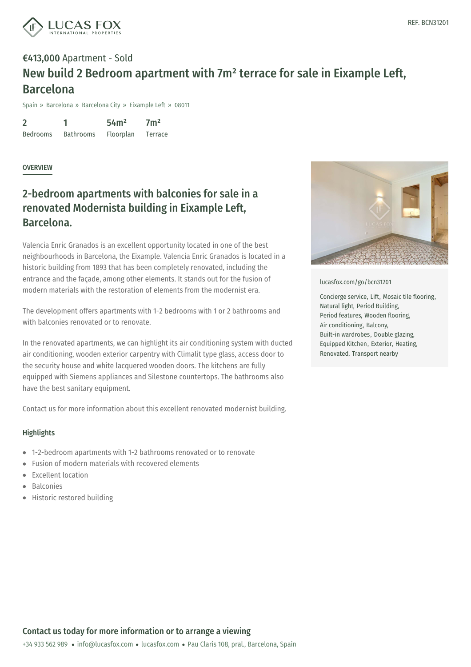

## €413,000 Apartment - Sold New build 2 Bedroom apartment with 7m² terrace for sale in Eixample Left, Barcelona

Spain » Barcelona » Barcelona City » Eixample Left » 08011

2 Bedrooms 1 Bathrooms 54m² Floorplan  $7<sup>m²</sup>$ Terrace

**OVERVIEW** 

### 2-bedroom apartments with balconies for sale in a renovated Modernista building in Eixample Left, Barcelona.

Valencia Enric Granados is an excellent opportunity located in one of the best neighbourhoods in Barcelona, the Eixample. Valencia Enric Granados is located in a historic building from 1893 that has been completely renovated, including the entrance and the façade, among other elements. It stands out for the fusion of modern materials with the restoration of elements from the modernist era.

The development offers apartments with 1-2 bedrooms with 1 or 2 bathrooms and with balconies renovated or to renovate.

In the renovated apartments, we can highlight its air conditioning system with ducted air conditioning, wooden exterior carpentry with Climalit type glass, access door to the security house and white lacquered wooden doors. The kitchens are fully equipped with Siemens appliances and Silestone countertops. The bathrooms also have the best sanitary equipment.

Contact us for more information about this excellent renovated modernist building.

### **Highlights**

- 1-2-bedroom apartments with 1-2 bathrooms renovated or to renovate
- Fusion of modern materials with recovered elements
- Excellent loca[tion](mailto:info@lucasfox.com)
- Balconies
- Historic restored building



#### [lucasfox.com/go/bcn31201](https://www.lucasfox.com/go/bcn31201)

Concierge service, Lift, Mosaic tile flooring, Natural light, Period Building, Period features, Wooden flooring, Air conditioning, Balcony, Built-in wardrobes, Double glazing, Equipped Kitchen, Exterior, Heating, Renovated, Transport nearby